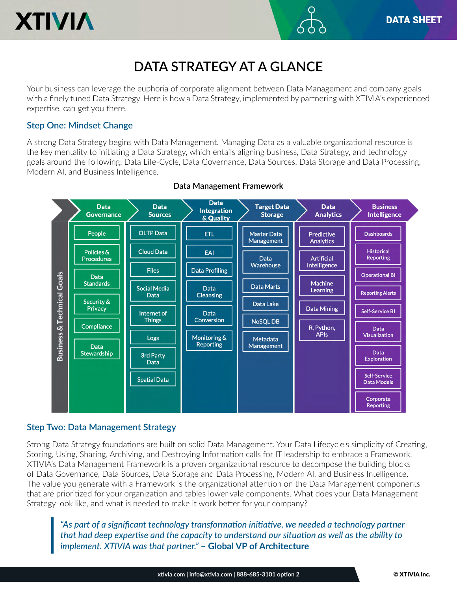

# **XTIVIA**

# **DATA STRATEGY AT A GLANCE**

Your business can leverage the euphoria of corporate alignment between Data Management and company goals with a finely tuned Data Strategy. Here is how a Data Strategy, implemented by partnering with XTIVIA's experienced expertise, can get you there.

#### **Step One: Mindset Change**

A strong Data Strategy begins with Data Management. Managing Data as a valuable organizational resource is the key mentality to initiating a Data Strategy, which entails aligning business, Data Strategy, and technology goals around the following: Data Life-Cycle, Data Governance, Data Sources, Data Storage and Data Processing, Modern AI, and Business Intelligence.



#### **Data Management Framework**

#### **Step Two: Data Management Strategy**

Strong Data Strategy foundations are built on solid Data Management. Your Data Lifecycle's simplicity of Creating, Storing, Using, Sharing, Archiving, and Destroying Information calls for IT leadership to embrace a Framework. XTIVIA's Data Management Framework is a proven organizational resource to decompose the building blocks of Data Governance, Data Sources, Data Storage and Data Processing, Modern AI, and Business Intelligence. The value you generate with a Framework is the organizational attention on the Data Management components that are prioritized for your organization and tables lower vale components. What does your Data Management Strategy look like, and what is needed to make it work better for your company?

*"As part of a significant technology transformation initiative, we needed a technology partner that had deep expertise and the capacity to understand our situation as well as the ability to implement. XTIVIA was that partner."* **– Global VP of Architecture**